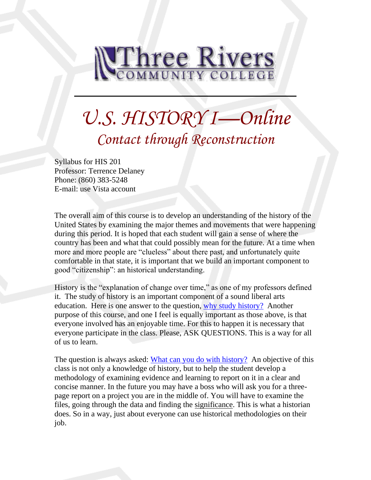

# *U.S. HISTORY I—Online Contact through Reconstruction*

Syllabus for HIS 201 Professor: Terrence Delaney Phone: (860) 383-5248 E-mail: use Vista account

The overall aim of this course is to develop an understanding of the history of the United States by examining the major themes and movements that were happening during this period. It is hoped that each student will gain a sense of where the country has been and what that could possibly mean for the future. At a time when more and more people are "clueless" about there past, and unfortunately quite comfortable in that state, it is important that we build an important component to good "citizenship": an historical understanding.

History is the "explanation of change over time," as one of my professors defined it. The study of history is an important component of a sound liberal arts education. Here is one answer to the question, [why study history?](http://history.hanover.edu/why.html) Another purpose of this course, and one I feel is equally important as those above, is that everyone involved has an enjoyable time. For this to happen it is necessary that everyone participate in the class. Please, ASK QUESTIONS. This is a way for all of us to learn.

The question is always asked: [What can you do with history?](http://www.trcc.commnet.edu/Prog_Study/Soc_Sciences/history/careeropportunities.htm) An objective of this class is not only a knowledge of history, but to help the student develop a methodology of examining evidence and learning to report on it in a clear and concise manner. In the future you may have a boss who will ask you for a threepage report on a project you are in the middle of. You will have to examine the files, going through the data and finding the significance. This is what a historian does. So in a way, just about everyone can use historical methodologies on their job.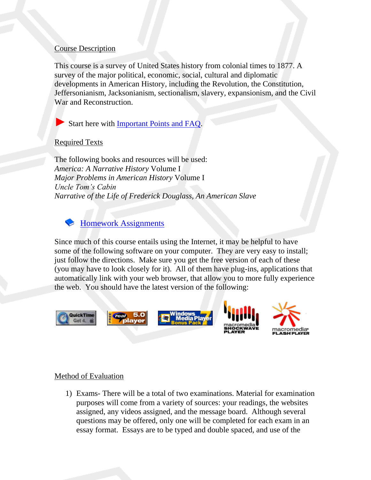### Course Description

This course is a survey of United States history from colonial times to 1877. A survey of the major political, economic, social, cultural and diplomatic developments in American History, including the Revolution, the Constitution, Jeffersonianism, Jacksonianism, sectionalism, slavery, expansionism, and the Civil War and Reconstruction.

Start here with [Important Points and FAQ.](file://///sysdwardite.commnet.edu/trcc$/www/Prog_Study/Soc_Sciences/history/delaney/ushist1dl/faq.htm)

# Required Texts

The following books and resources will be used: *America: A Narrative History* Volume I *Major Problems in American History* Volume I *Uncle Tom's Cabin Narrative of the Life of Frederick Douglass, An American Slave*

# [Homework Assignments](file://///sysdwardite.commnet.edu/trcc$/www/Prog_Study/Soc_Sciences/history/delaney/ushist1dl/readlist.htm)

Since much of this course entails using the Internet, it may be helpful to have some of the following software on your computer. They are very easy to install; just follow the directions. Make sure you get the free version of each of these (you may have to look closely for it). All of them have plug-ins, applications that automatically link with your web browser, that allow you to more fully experience the web. You should have the latest version of the following:



#### Method of Evaluation

1) Exams- There will be a total of two examinations. Material for examination purposes will come from a variety of sources: your readings, the websites assigned, any videos assigned, and the message board. Although several questions may be offered, only one will be completed for each exam in an essay format. Essays are to be typed and double spaced, and use of the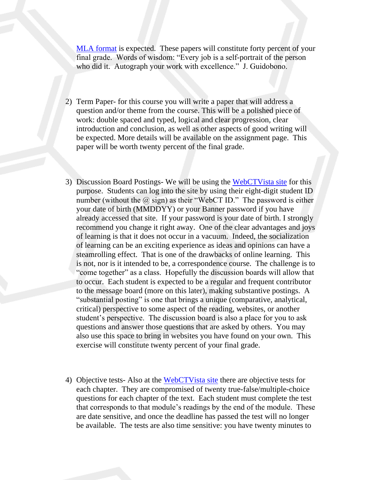[MLA format](http://www.nhmccd.edu/contracts/lrc/kc/mlastyle.htm) is expected. These papers will constitute forty percent of your final grade. Words of wisdom: "Every job is a self-portrait of the person who did it. Autograph your work with excellence." J. Guidobono.

- 2) Term Paper- for this course you will write a paper that will address a question and/or theme from the course. This will be a polished piece of work: double spaced and typed, logical and clear progression, clear introduction and conclusion, as well as other aspects of good writing will be expected. More details will be available on the assignment page. This paper will be worth twenty percent of the final grade.
- 3) Discussion Board Postings- We will be using the WebCTV ista site for this purpose. Students can log into the site by using their eight-digit student ID number (without the  $\omega$  sign) as their "WebCT ID." The password is either your date of birth (MMDDYY) or your Banner password if you have already accessed that site. If your password is your date of birth. I strongly recommend you change it right away. One of the clear advantages and joys of learning is that it does not occur in a vacuum. Indeed, the socialization of learning can be an exciting experience as ideas and opinions can have a steamrolling effect. That is one of the drawbacks of online learning. This is not, nor is it intended to be, a correspondence course. The challenge is to "come together" as a class. Hopefully the discussion boards will allow that to occur. Each student is expected to be a regular and frequent contributor to the message board (more on this later), making substantive postings. A "substantial posting" is one that brings a unique (comparative, analytical, critical) perspective to some aspect of the reading, websites, or another student's perspective. The discussion board is also a place for you to ask questions and answer those questions that are asked by others. You may also use this space to bring in websites you have found on your own. This exercise will constitute twenty percent of your final grade.
- 4) Objective tests- Also at the [WebCTVista site](http://vista.ctdlc.org/webct/entryPage.dowebct) there are objective tests for each chapter. They are compromised of twenty true-false/multiple-choice questions for each chapter of the text. Each student must complete the test that corresponds to that module's readings by the end of the module. These are date sensitive, and once the deadline has passed the test will no longer be available. The tests are also time sensitive: you have twenty minutes to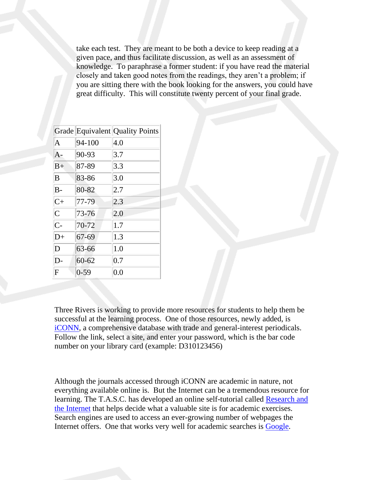take each test. They are meant to be both a device to keep reading at a given pace, and thus facilitate discussion, as well as an assessment of knowledge. To paraphrase a former student: if you have read the material closely and taken good notes from the readings, they aren't a problem; if you are sitting there with the book looking for the answers, you could have great difficulty. This will constitute twenty percent of your final grade.

|                |           | Grade Equivalent Quality Points |
|----------------|-----------|---------------------------------|
| $\overline{A}$ | 94-100    | 4.0                             |
| A-             | 90-93     | 3.7                             |
| $B+$           | 87-89     | 3.3                             |
| B              | 83-86     | 3.0                             |
| $B -$          | 80-82     | 2.7                             |
| $C+$           | 77-79     | 2.3                             |
| $\overline{C}$ | 73-76     | 2.0                             |
| $C-$           | 70-72     | 1.7                             |
| $D+$           | 67-69     | 1.3                             |
| D              | 63-66     | 1.0                             |
| D-             | $60 - 62$ | 0.7                             |
| F              | $0 - 59$  | 0.0                             |

Three Rivers is working to provide more resources for students to help them be successful at the learning process. One of those resources, newly added, is [iCONN,](http://www.iconn.org/colleges_remote.html) a comprehensive database with trade and general-interest periodicals. Follow the link, select a site, and enter your password, which is the bar code number on your library card (example: D310123456)

Although the journals accessed through iCONN are academic in nature, not everything available online is. But the Internet can be a tremendous resource for learning. The T.A.S.C. has developed an online self-tutorial called Research and [the Internet](http://www.trcc.commnet.edu/Ed_Resources/TASC/Internet/TASC%20Internet_files/frame.htm) that helps decide what a valuable site is for academic exercises. Search engines are used to access an ever-growing number of webpages the Internet offers. One that works very well for academic searches is [Google.](http://www.google.com/)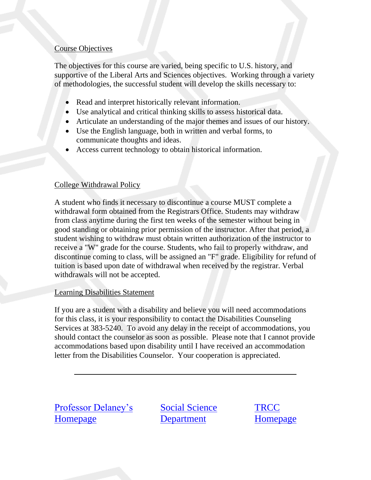## Course Objectives

The objectives for this course are varied, being specific to U.S. history, and supportive of the Liberal Arts and Sciences objectives. Working through a variety of methodologies, the successful student will develop the skills necessary to:

- Read and interpret historically relevant information.
- Use analytical and critical thinking skills to assess historical data.
- Articulate an understanding of the major themes and issues of our history.
- Use the English language, both in written and verbal forms, to communicate thoughts and ideas.
- Access current technology to obtain historical information.

# College Withdrawal Policy

A student who finds it necessary to discontinue a course MUST complete a withdrawal form obtained from the Registrars Office. Students may withdraw from class anytime during the first ten weeks of the semester without being in good standing or obtaining prior permission of the instructor. After that period, a student wishing to withdraw must obtain written authorization of the instructor to receive a "W" grade for the course. Students, who fail to properly withdraw, and discontinue coming to class, will be assigned an "F" grade. Eligibility for refund of tuition is based upon date of withdrawal when received by the registrar. Verbal withdrawals will not be accepted.

#### Learning Disabilities Statement

If you are a student with a disability and believe you will need accommodations for this class, it is your responsibility to contact the Disabilities Counseling Services at 383-5240. To avoid any delay in the receipt of accommodations, you should contact the counselor as soon as possible. Please note that I cannot provide accommodations based upon disability until I have received an accommodation letter from the Disabilities Counselor. Your cooperation is appreciated.

| <b>Professor Delaney's</b> |
|----------------------------|
| <b>Homepage</b>            |

[Social Science](http://www.trcc.commnet.edu/acad_depts/soc_sciences/index.htm)  **[Department](http://www.trcc.commnet.edu/acad_depts/soc_sciences/index.htm)**